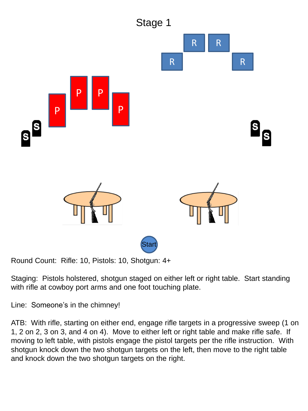

Staging: Pistols holstered, shotgun staged on either left or right table. Start standing with rifle at cowboy port arms and one foot touching plate.

Line: Someone's in the chimney!

ATB: With rifle, starting on either end, engage rifle targets in a progressive sweep (1 on 1, 2 on 2, 3 on 3, and 4 on 4). Move to either left or right table and make rifle safe. If moving to left table, with pistols engage the pistol targets per the rifle instruction. With shotgun knock down the two shotgun targets on the left, then move to the right table and knock down the two shotgun targets on the right.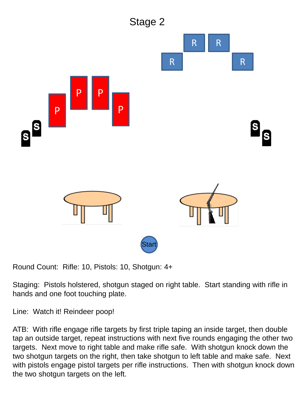

Staging: Pistols holstered, shotgun staged on right table. Start standing with rifle in hands and one foot touching plate.

Line: Watch it! Reindeer poop!

ATB: With rifle engage rifle targets by first triple taping an inside target, then double tap an outside target, repeat instructions with next five rounds engaging the other two targets. Next move to right table and make rifle safe. With shotgun knock down the two shotgun targets on the right, then take shotgun to left table and make safe. Next with pistols engage pistol targets per rifle instructions. Then with shotgun knock down the two shotgun targets on the left.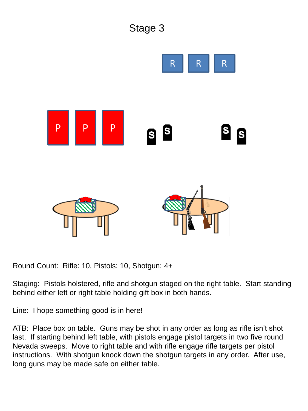

Staging: Pistols holstered, rifle and shotgun staged on the right table. Start standing behind either left or right table holding gift box in both hands.

Line: I hope something good is in here!

ATB: Place box on table. Guns may be shot in any order as long as rifle isn't shot last. If starting behind left table, with pistols engage pistol targets in two five round Nevada sweeps. Move to right table and with rifle engage rifle targets per pistol instructions. With shotgun knock down the shotgun targets in any order. After use, long guns may be made safe on either table.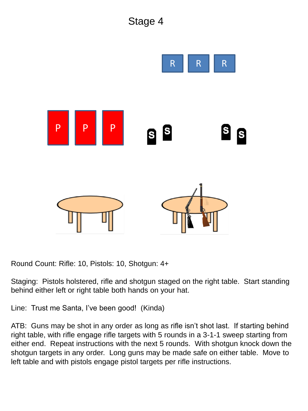

Staging: Pistols holstered, rifle and shotgun staged on the right table. Start standing behind either left or right table both hands on your hat.

Line: Trust me Santa, I've been good! (Kinda)

ATB: Guns may be shot in any order as long as rifle isn't shot last. If starting behind right table, with rifle engage rifle targets with 5 rounds in a 3-1-1 sweep starting from either end. Repeat instructions with the next 5 rounds. With shotgun knock down the shotgun targets in any order. Long guns may be made safe on either table. Move to left table and with pistols engage pistol targets per rifle instructions.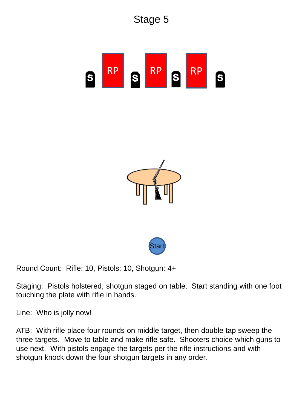

Stage 5





Round Count: Rifle: 10, Pistols: 10, Shotgun: 4+

Staging: Pistols holstered, shotgun staged on table. Start standing with one foot touching the plate with rifle in hands.

Line: Who is jolly now!

ATB: With rifle place four rounds on middle target, then double tap sweep the three targets. Move to table and make rifle safe. Shooters choice which guns to use next. With pistols engage the targets per the rifle instructions and with shotgun knock down the four shotgun targets in any order.